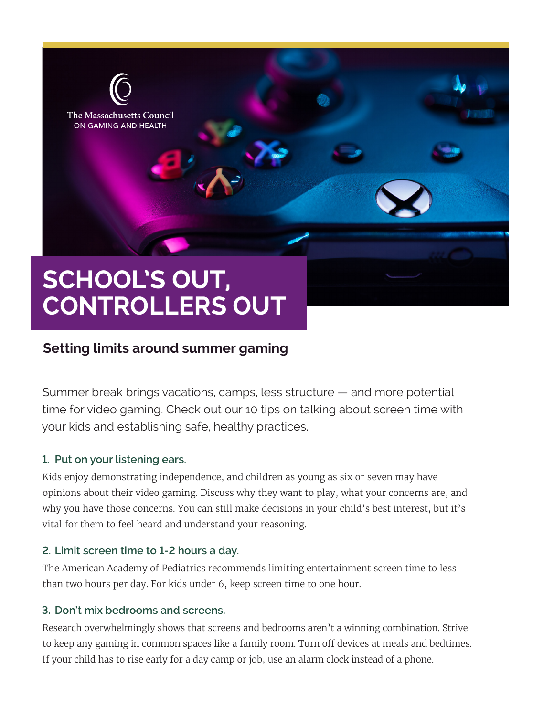

# **Setting limits around summer gaming**

Summer break brings vacations, camps, less structure — and more potential time for video gaming. Check out our 10 tips on talking about screen time with your kids and establishing safe, healthy practices.

#### **1. Put on your listening ears.**

Kids enjoy demonstrating independence, and children as young as six or seven may have opinions about their video gaming. Discuss why they want to play, what your concerns are, and why you have those concerns. You can still make decisions in your child's best interest, but it's vital for them to feel heard and understand your reasoning.

# **2. Limit screen time to 1-2 hours a day.**

The American Academy of Pediatrics recommends limiting entertainment screen time to less than two hours per day. For kids under 6, keep screen time to one hour.

#### **3. Don't mix bedrooms and screens.**

Research overwhelmingly shows that screens and bedrooms aren't a winning combination. Strive to keep any gaming in common spaces like a family room. Turn off devices at meals and bedtimes. If your child has to rise early for a day camp or job, use an alarm clock instead of a phone.